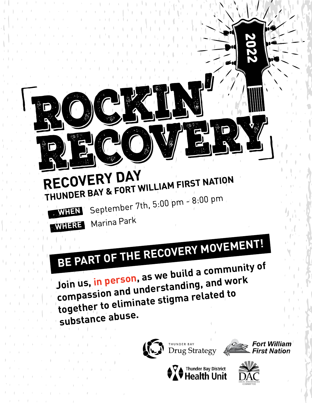## RECOVERY DAY RECOVERY DAY<br>THUNDER BAY & FORT WILLIAM FIRST NATION September 7th, 5:00 pm - 8:00 pm

**WHEN**



Marina Park

# **BE PART OF THE RECOVERY MOVEMENT!**

**Join us, in person, as we build a community o<sup>f</sup> compassion and understanding, and wor<sup>k</sup> together to eliminate stigma related to substance abuse.**









2022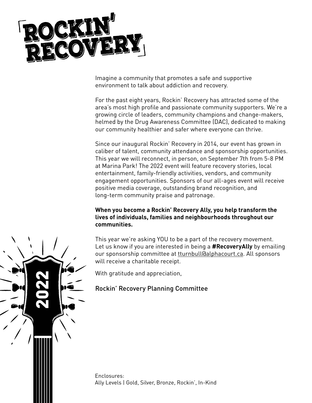

Imagine a community that promotes a safe and supportive environment to talk about addiction and recovery.

For the past eight years, Rockin' Recovery has attracted some of the area's most high profile and passionate community supporters. We're a growing circle of leaders, community champions and change-makers, helmed by the Drug Awareness Committee (DAC), dedicated to making our community healthier and safer where everyone can thrive.

Since our inaugural Rockin' Recovery in 2014, our event has grown in caliber of talent, community attendance and sponsorship opportunities. This year we will reconnect, in person, on September 7th from 5-8 PM at Marina Park! The 2022 event will feature recovery stories, local entertainment, family-friendly activities, vendors, and community engagement opportunities. Sponsors of our all-ages event will receive positive media coverage, outstanding brand recognition, and long-term community praise and patronage.

#### **When you become a Rockin' Recovery Ally, you help transform the lives of individuals, families and neighbourhoods throughout our communities.**

This year we're asking YOU to be a part of the recovery movement. Let us know if you are interested in being a **#RecoveryAlly** by emailing our sponsorship committee at turnbull@alphacourt.ca. All sponsors will receive a charitable receipt.

With gratitude and appreciation,

#### Rockin' Recovery Planning Committee

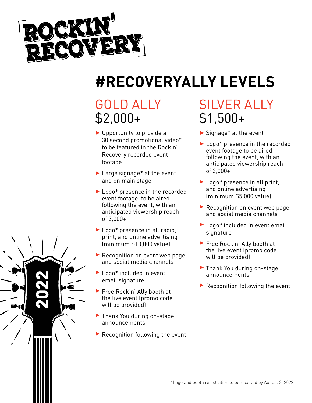

# **#RECOVERYALLY LEVELS**

## GOLD ALLY \$2,000+

- ▶ Opportunity to provide a 30 second promotional video\* to be featured in the Rockin' Recovery recorded event footage
- ▶ Large signage<sup>\*</sup> at the event and on main stage
- ▶ Logo\* presence in the recorded event footage, to be aired following the event, with an anticipated viewership reach of 3,000+
- ▶ Logo\* presence in all radio, print, and online advertising (minimum \$10,000 value)
- Recognition on event web page and social media channels
- ▶ Logo\* included in event email signature
- ▶ Free Rockin' Ally booth at the live event (promo code will be provided)
- ▶ Thank You during on-stage announcements
- $\blacktriangleright$  Recognition following the event

## SILVER ALLY \$1,500+

- Signage\* at the event
- ▶ Logo\* presence in the recorded event footage to be aired following the event, with an anticipated viewership reach of 3,000+
- ▶ Logo\* presence in all print, and online advertising (minimum \$5,000 value)
- Recognition on event web page and social media channels
- ▶ Logo\* included in event email signature
- Free Rockin' Ally booth at the live event (promo code will be provided)
- ▶ Thank You during on-stage announcements
- $\blacktriangleright$  Recognition following the event